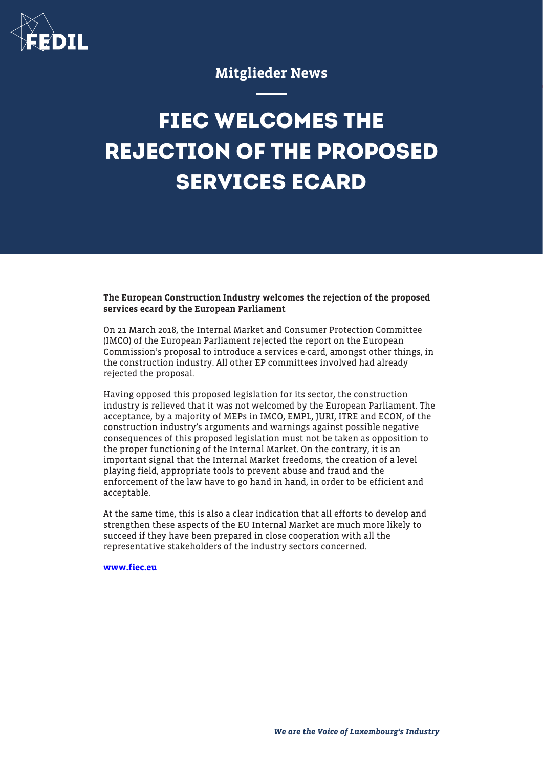

## Mitglieder News

## **FIEC WELCOMES THE REJECTION OF THE PROPOSED SERVICES ECARD**

The European Construction Industry welcomes the rejection of the proposed services ecard by the European Parliament

On 21 March 2018, the Internal Market and Consumer Protection Committee (IMCO) of the European Parliament rejected the report on the European Commission's proposal to introduce a services e-card, amongst other things, in the construction industry. All other EP committees involved had already rejected the proposal.

Having opposed this proposed legislation for its sector, the construction industry is relieved that it was not welcomed by the European Parliament. The acceptance, by a majority of MEPs in IMCO, EMPL, JURI, ITRE and ECON, of the construction industry's arguments and warnings against possible negative consequences of this proposed legislation must not be taken as opposition to the proper functioning of the Internal Market. On the contrary, it is an important signal that the Internal Market freedoms, the creation of a level playing field, appropriate tools to prevent abuse and fraud and the enforcement of the law have to go hand in hand, in order to be efficient and acceptable.

At the same time, this is also a clear indication that all efforts to develop and strengthen these aspects of the EU Internal Market are much more likely to succeed if they have been prepared in close cooperation with all the representative stakeholders of the industry sectors concerned.

[www.fiec.eu](http://www.fiec.eu)